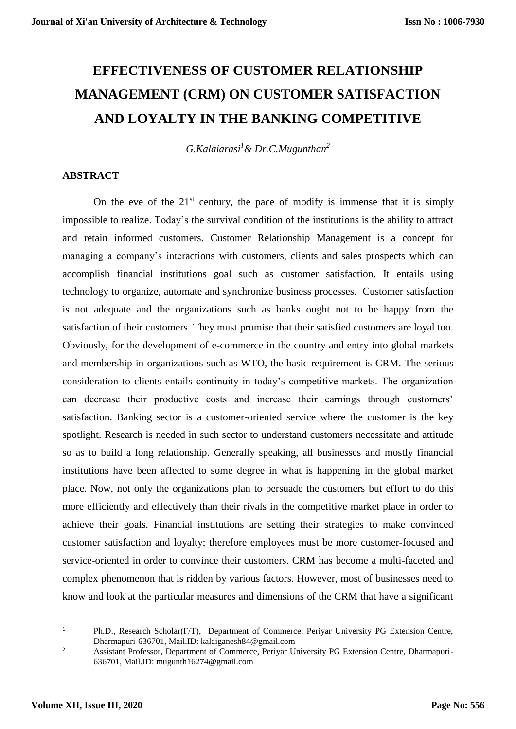# **EFFECTIVENESS OF CUSTOMER RELATIONSHIP MANAGEMENT (CRM) ON CUSTOMER SATISFACTION AND LOYALTY IN THE BANKING COMPETITIVE**

*G.Kalaiarasi<sup>1</sup>& Dr.C.Mugunthan<sup>2</sup>*

# **ABSTRACT**

On the eve of the  $21<sup>st</sup>$  century, the pace of modify is immense that it is simply impossible to realize. Today's the survival condition of the institutions is the ability to attract and retain informed customers. Customer Relationship Management is a concept for managing a company's interactions with customers, clients and sales prospects which can accomplish financial institutions goal such as customer satisfaction. It entails using technology to organize, automate and synchronize business processes. Customer satisfaction is not adequate and the organizations such as banks ought not to be happy from the satisfaction of their customers. They must promise that their satisfied customers are loyal too. Obviously, for the development of e-commerce in the country and entry into global markets and membership in organizations such as WTO, the basic requirement is CRM. The serious consideration to clients entails continuity in today's competitive markets. The organization can decrease their productive costs and increase their earnings through customers' satisfaction. Banking sector is a customer-oriented service where the customer is the key spotlight. Research is needed in such sector to understand customers necessitate and attitude so as to build a long relationship. Generally speaking, all businesses and mostly financial institutions have been affected to some degree in what is happening in the global market place. Now, not only the organizations plan to persuade the customers but effort to do this more efficiently and effectively than their rivals in the competitive market place in order to achieve their goals. Financial institutions are setting their strategies to make convinced customer satisfaction and loyalty; therefore employees must be more customer-focused and service-oriented in order to convince their customers. CRM has become a multi-faceted and complex phenomenon that is ridden by various factors. However, most of businesses need to know and look at the particular measures and dimensions of the CRM that have a significant

**.** 

<sup>&</sup>lt;sup>1</sup> Ph.D., Research Scholar(F/T), Department of Commerce, Periyar University PG Extension Centre, Dharmapuri-636701, Mail.ID: kalaiganesh84@gmail.com

<sup>&</sup>lt;sup>2</sup> Assistant Professor, Department of Commerce, Periyar University PG Extension Centre, Dharmapuri-636701, Mail.ID: mugunth16274@gmail.com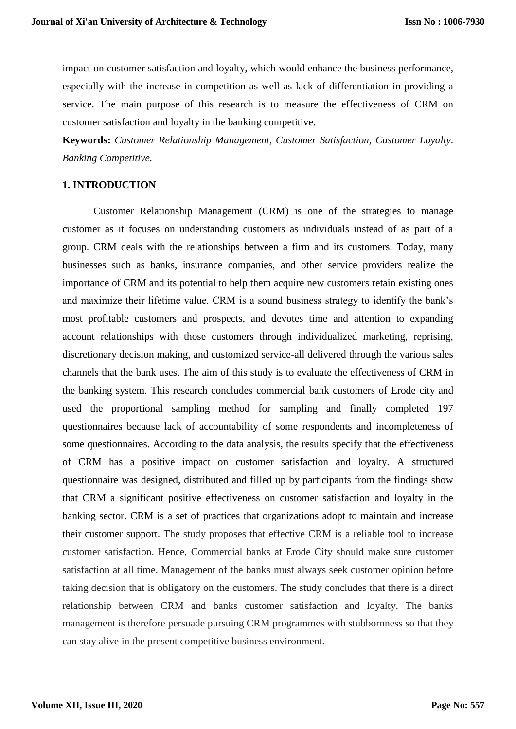impact on customer satisfaction and loyalty, which would enhance the business performance, especially with the increase in competition as well as lack of differentiation in providing a service. The main purpose of this research is to measure the effectiveness of CRM on customer satisfaction and loyalty in the banking competitive.

**Keywords:** *Customer Relationship Management, Customer Satisfaction, Customer Loyalty. Banking Competitive.*

## **1. INTRODUCTION**

Customer Relationship Management (CRM) is one of the strategies to manage customer as it focuses on understanding customers as individuals instead of as part of a group. CRM deals with the relationships between a firm and its customers. Today, many businesses such as banks, insurance companies, and other service providers realize the importance of CRM and its potential to help them acquire new customers retain existing ones and maximize their lifetime value. CRM is a sound business strategy to identify the bank's most profitable customers and prospects, and devotes time and attention to expanding account relationships with those customers through individualized marketing, reprising, discretionary decision making, and customized service-all delivered through the various sales channels that the bank uses. The aim of this study is to evaluate the effectiveness of CRM in the banking system. This research concludes commercial bank customers of Erode city and used the proportional sampling method for sampling and finally completed 197 questionnaires because lack of accountability of some respondents and incompleteness of some questionnaires. According to the data analysis, the results specify that the effectiveness of CRM has a positive impact on customer satisfaction and loyalty. A structured questionnaire was designed, distributed and filled up by participants from the findings show that CRM a significant positive effectiveness on customer satisfaction and loyalty in the banking sector. CRM is a set of practices that organizations adopt to maintain and increase their customer support. The study proposes that effective CRM is a reliable tool to increase customer satisfaction. Hence, Commercial banks at Erode City should make sure customer satisfaction at all time. Management of the banks must always seek customer opinion before taking decision that is obligatory on the customers. The study concludes that there is a direct relationship between CRM and banks customer satisfaction and loyalty. The banks management is therefore persuade pursuing CRM programmes with stubbornness so that they can stay alive in the present competitive business environment.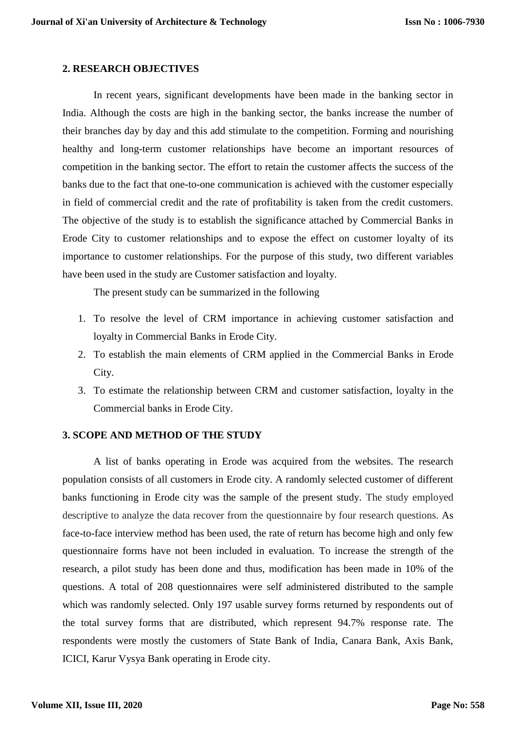### **2. RESEARCH OBJECTIVES**

In recent years, significant developments have been made in the banking sector in India. Although the costs are high in the banking sector, the banks increase the number of their branches day by day and this add stimulate to the competition. Forming and nourishing healthy and long-term customer relationships have become an important resources of competition in the banking sector. The effort to retain the customer affects the success of the banks due to the fact that one-to-one communication is achieved with the customer especially in field of commercial credit and the rate of profitability is taken from the credit customers. The objective of the study is to establish the significance attached by Commercial Banks in Erode City to customer relationships and to expose the effect on customer loyalty of its importance to customer relationships. For the purpose of this study, two different variables have been used in the study are Customer satisfaction and loyalty.

The present study can be summarized in the following

- 1. To resolve the level of CRM importance in achieving customer satisfaction and loyalty in Commercial Banks in Erode City.
- 2. To establish the main elements of CRM applied in the Commercial Banks in Erode City.
- 3. To estimate the relationship between CRM and customer satisfaction, loyalty in the Commercial banks in Erode City.

#### **3. SCOPE AND METHOD OF THE STUDY**

A list of banks operating in Erode was acquired from the websites. The research population consists of all customers in Erode city. A randomly selected customer of different banks functioning in Erode city was the sample of the present study. The study employed descriptive to analyze the data recover from the questionnaire by four research questions. As face-to-face interview method has been used, the rate of return has become high and only few questionnaire forms have not been included in evaluation. To increase the strength of the research, a pilot study has been done and thus, modification has been made in 10% of the questions. A total of 208 questionnaires were self administered distributed to the sample which was randomly selected. Only 197 usable survey forms returned by respondents out of the total survey forms that are distributed, which represent 94.7% response rate. The respondents were mostly the customers of State Bank of India, Canara Bank, Axis Bank, ICICI, Karur Vysya Bank operating in Erode city.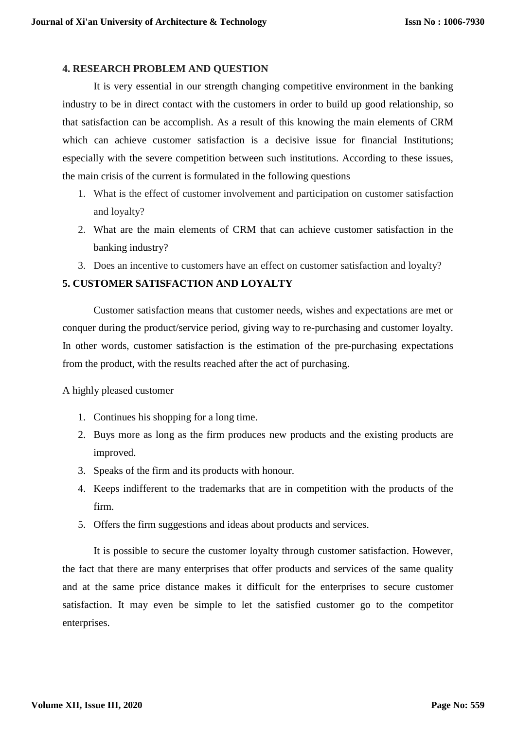#### **4. RESEARCH PROBLEM AND QUESTION**

It is very essential in our strength changing competitive environment in the banking industry to be in direct contact with the customers in order to build up good relationship, so that satisfaction can be accomplish. As a result of this knowing the main elements of CRM which can achieve customer satisfaction is a decisive issue for financial Institutions; especially with the severe competition between such institutions. According to these issues, the main crisis of the current is formulated in the following questions

- 1. What is the effect of customer involvement and participation on customer satisfaction and loyalty?
- 2. What are the main elements of CRM that can achieve customer satisfaction in the banking industry?
- 3. Does an incentive to customers have an effect on customer satisfaction and loyalty?

## **5. CUSTOMER SATISFACTION AND LOYALTY**

Customer satisfaction means that customer needs, wishes and expectations are met or conquer during the product/service period, giving way to re-purchasing and customer loyalty. In other words, customer satisfaction is the estimation of the pre-purchasing expectations from the product, with the results reached after the act of purchasing.

A highly pleased customer

- 1. Continues his shopping for a long time.
- 2. Buys more as long as the firm produces new products and the existing products are improved.
- 3. Speaks of the firm and its products with honour.
- 4. Keeps indifferent to the trademarks that are in competition with the products of the firm.
- 5. Offers the firm suggestions and ideas about products and services.

It is possible to secure the customer loyalty through customer satisfaction. However, the fact that there are many enterprises that offer products and services of the same quality and at the same price distance makes it difficult for the enterprises to secure customer satisfaction. It may even be simple to let the satisfied customer go to the competitor enterprises.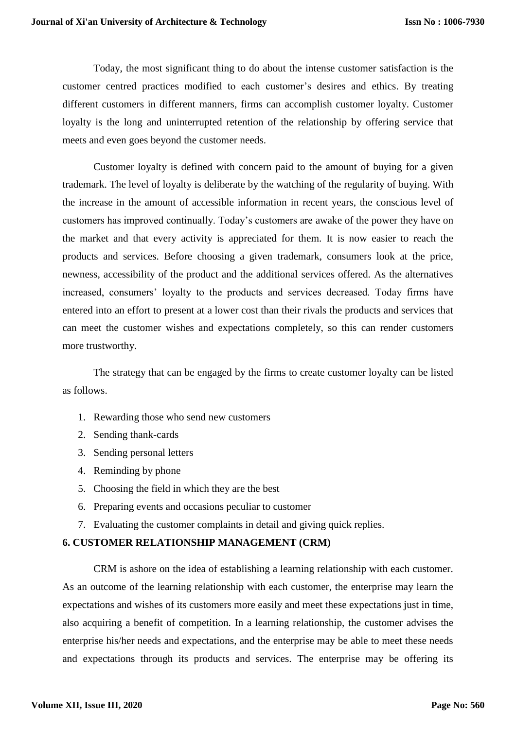Today, the most significant thing to do about the intense customer satisfaction is the customer centred practices modified to each customer's desires and ethics. By treating different customers in different manners, firms can accomplish customer loyalty. Customer loyalty is the long and uninterrupted retention of the relationship by offering service that meets and even goes beyond the customer needs.

Customer loyalty is defined with concern paid to the amount of buying for a given trademark. The level of loyalty is deliberate by the watching of the regularity of buying. With the increase in the amount of accessible information in recent years, the conscious level of customers has improved continually. Today's customers are awake of the power they have on the market and that every activity is appreciated for them. It is now easier to reach the products and services. Before choosing a given trademark, consumers look at the price, newness, accessibility of the product and the additional services offered. As the alternatives increased, consumers' loyalty to the products and services decreased. Today firms have entered into an effort to present at a lower cost than their rivals the products and services that can meet the customer wishes and expectations completely, so this can render customers more trustworthy.

The strategy that can be engaged by the firms to create customer loyalty can be listed as follows.

- 1. Rewarding those who send new customers
- 2. Sending thank-cards
- 3. Sending personal letters
- 4. Reminding by phone
- 5. Choosing the field in which they are the best
- 6. Preparing events and occasions peculiar to customer
- 7. Evaluating the customer complaints in detail and giving quick replies.

## **6. CUSTOMER RELATIONSHIP MANAGEMENT (CRM)**

CRM is ashore on the idea of establishing a learning relationship with each customer. As an outcome of the learning relationship with each customer, the enterprise may learn the expectations and wishes of its customers more easily and meet these expectations just in time, also acquiring a benefit of competition. In a learning relationship, the customer advises the enterprise his/her needs and expectations, and the enterprise may be able to meet these needs and expectations through its products and services. The enterprise may be offering its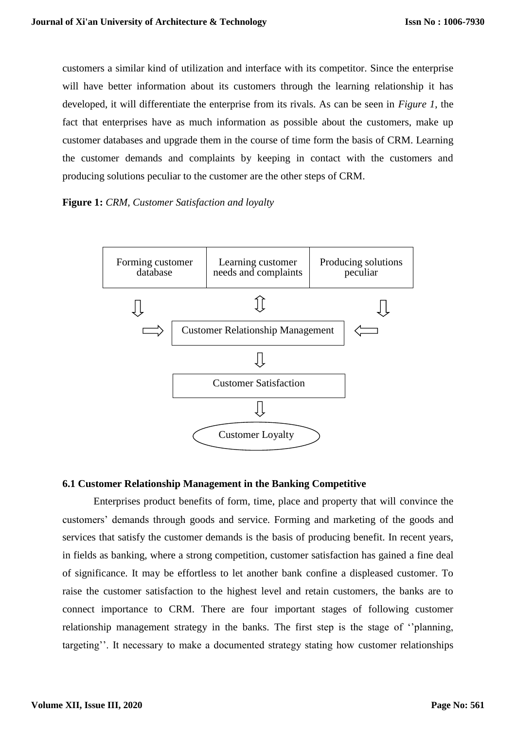customers a similar kind of utilization and interface with its competitor. Since the enterprise will have better information about its customers through the learning relationship it has developed, it will differentiate the enterprise from its rivals. As can be seen in *Figure 1*, the fact that enterprises have as much information as possible about the customers, make up customer databases and upgrade them in the course of time form the basis of CRM. Learning the customer demands and complaints by keeping in contact with the customers and producing solutions peculiar to the customer are the other steps of CRM.

## **Figure 1:** *CRM, Customer Satisfaction and loyalty*



## **6.1 Customer Relationship Management in the Banking Competitive**

Enterprises product benefits of form, time, place and property that will convince the customers' demands through goods and service. Forming and marketing of the goods and services that satisfy the customer demands is the basis of producing benefit. In recent years, in fields as banking, where a strong competition, customer satisfaction has gained a fine deal of significance. It may be effortless to let another bank confine a displeased customer. To raise the customer satisfaction to the highest level and retain customers, the banks are to connect importance to CRM. There are four important stages of following customer relationship management strategy in the banks. The first step is the stage of ''planning, targeting''. It necessary to make a documented strategy stating how customer relationships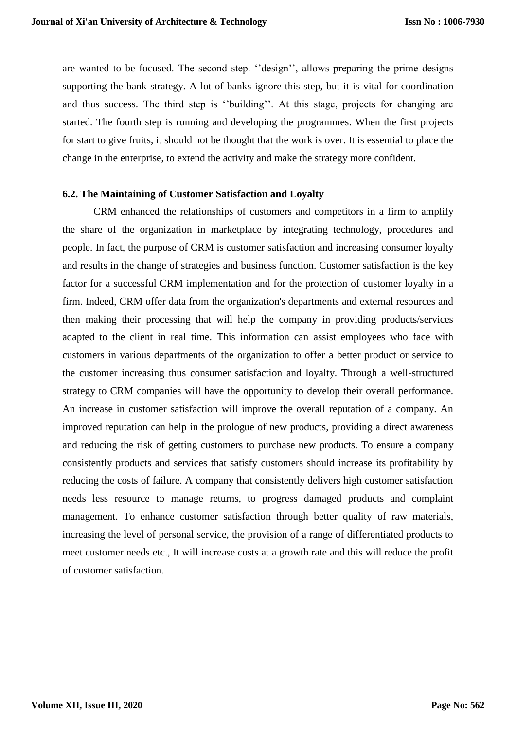are wanted to be focused. The second step. ''design'', allows preparing the prime designs supporting the bank strategy. A lot of banks ignore this step, but it is vital for coordination and thus success. The third step is ''building''. At this stage, projects for changing are started. The fourth step is running and developing the programmes. When the first projects for start to give fruits, it should not be thought that the work is over. It is essential to place the change in the enterprise, to extend the activity and make the strategy more confident.

#### **6.2. The Maintaining of Customer Satisfaction and Loyalty**

CRM enhanced the relationships of customers and competitors in a firm to amplify the share of the organization in marketplace by integrating technology, procedures and people. In fact, the purpose of CRM is customer satisfaction and increasing consumer loyalty and results in the change of strategies and business function. Customer satisfaction is the key factor for a successful CRM implementation and for the protection of customer loyalty in a firm. Indeed, CRM offer data from the organization's departments and external resources and then making their processing that will help the company in providing products/services adapted to the client in real time. This information can assist employees who face with customers in various departments of the organization to offer a better product or service to the customer increasing thus consumer satisfaction and loyalty. Through a well-structured strategy to CRM companies will have the opportunity to develop their overall performance. An increase in customer satisfaction will improve the overall reputation of a company. An improved reputation can help in the prologue of new products, providing a direct awareness and reducing the risk of getting customers to purchase new products. To ensure a company consistently products and services that satisfy customers should increase its profitability by reducing the costs of failure. A company that consistently delivers high customer satisfaction needs less resource to manage returns, to progress damaged products and complaint management. To enhance customer satisfaction through better quality of raw materials, increasing the level of personal service, the provision of a range of differentiated products to meet customer needs etc., It will increase costs at a growth rate and this will reduce the profit of customer satisfaction.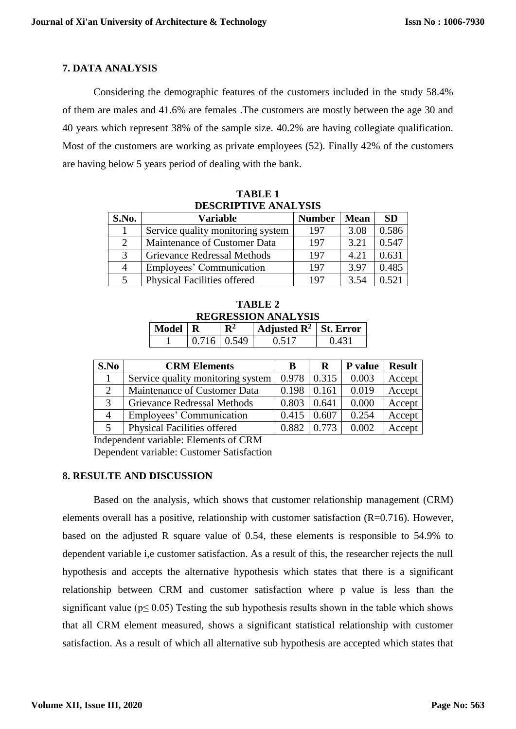## **7. DATA ANALYSIS**

Considering the demographic features of the customers included in the study 58.4% of them are males and 41.6% are females .The customers are mostly between the age 30 and 40 years which represent 38% of the sample size. 40.2% are having collegiate qualification. Most of the customers are working as private employees (52). Finally 42% of the customers are having below 5 years period of dealing with the bank.

| DESCRIPTIVE ANALYSIS |                                    |               |             |           |  |  |
|----------------------|------------------------------------|---------------|-------------|-----------|--|--|
| S.No.                | <b>Variable</b>                    | <b>Number</b> | <b>Mean</b> | <b>SD</b> |  |  |
|                      | Service quality monitoring system  | 197           | 3.08        | 0.586     |  |  |
| 2                    | Maintenance of Customer Data       | 197           | 3.21        | 0.547     |  |  |
| $\mathcal{R}$        | Grievance Redressal Methods        | 197           | 4.21        | 0.631     |  |  |
| 4                    | Employees' Communication           | 197           | 3.97        | 0.485     |  |  |
| 5                    | <b>Physical Facilities offered</b> | 197           | 3.54        | 0.521     |  |  |

**TABLE 1 DESCRIPTIVE ANALYSIS**

| TABLE 2                    |                |  |  |              |  |  |  |  |
|----------------------------|----------------|--|--|--------------|--|--|--|--|
| <b>REGRESSION ANALYSIS</b> |                |  |  |              |  |  |  |  |
|                            | $\mathbf{m}^2$ |  |  | $\mathbf{u}$ |  |  |  |  |

| Model $\mid R$ |                 | $\vert$ Adjusted R <sup>2</sup>   St. Error |  |
|----------------|-----------------|---------------------------------------------|--|
|                | $0.716$   0.549 | በ 517                                       |  |

| S.No | <b>CRM Elements</b>               | В     | R     | <b>P</b> value | <b>Result</b> |
|------|-----------------------------------|-------|-------|----------------|---------------|
|      | Service quality monitoring system | 0.978 | 0.315 | 0.003          | Accept        |
|      | Maintenance of Customer Data      | 0.198 | 0.161 | 0.019          | Accept        |
| 3    | Grievance Redressal Methods       | 0.803 | 0.641 | 0.000          | Accept        |
| 4    | Employees' Communication          | 0.415 | 0.607 | 0.254          | Accept        |
|      | Physical Facilities offered       | 0.882 | 0.773 | 0.002          | Accept        |

Independent variable: Elements of CRM Dependent variable: Customer Satisfaction

## **8. RESULTE AND DISCUSSION**

Based on the analysis, which shows that customer relationship management (CRM) elements overall has a positive, relationship with customer satisfaction  $(R=0.716)$ . However, based on the adjusted R square value of 0.54, these elements is responsible to 54.9% to dependent variable i,e customer satisfaction. As a result of this, the researcher rejects the null hypothesis and accepts the alternative hypothesis which states that there is a significant relationship between CRM and customer satisfaction where p value is less than the significant value ( $p \leq 0.05$ ) Testing the sub hypothesis results shown in the table which shows that all CRM element measured, shows a significant statistical relationship with customer satisfaction. As a result of which all alternative sub hypothesis are accepted which states that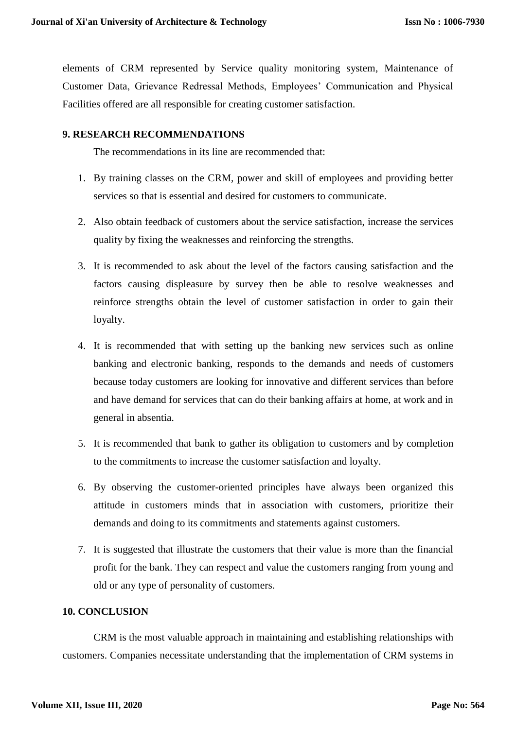elements of CRM represented by Service quality monitoring system, Maintenance of Customer Data, Grievance Redressal Methods, Employees' Communication and Physical Facilities offered are all responsible for creating customer satisfaction.

# **9. RESEARCH RECOMMENDATIONS**

The recommendations in its line are recommended that:

- 1. By training classes on the CRM, power and skill of employees and providing better services so that is essential and desired for customers to communicate.
- 2. Also obtain feedback of customers about the service satisfaction, increase the services quality by fixing the weaknesses and reinforcing the strengths.
- 3. It is recommended to ask about the level of the factors causing satisfaction and the factors causing displeasure by survey then be able to resolve weaknesses and reinforce strengths obtain the level of customer satisfaction in order to gain their loyalty.
- 4. It is recommended that with setting up the banking new services such as online banking and electronic banking, responds to the demands and needs of customers because today customers are looking for innovative and different services than before and have demand for services that can do their banking affairs at home, at work and in general in absentia.
- 5. It is recommended that bank to gather its obligation to customers and by completion to the commitments to increase the customer satisfaction and loyalty.
- 6. By observing the customer-oriented principles have always been organized this attitude in customers minds that in association with customers, prioritize their demands and doing to its commitments and statements against customers.
- 7. It is suggested that illustrate the customers that their value is more than the financial profit for the bank. They can respect and value the customers ranging from young and old or any type of personality of customers.

# **10. CONCLUSION**

CRM is the most valuable approach in maintaining and establishing relationships with customers. Companies necessitate understanding that the implementation of CRM systems in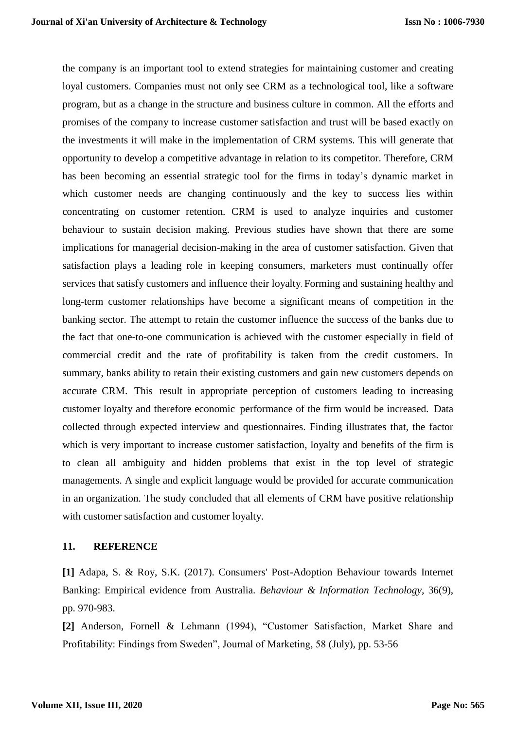the company is an important tool to extend strategies for maintaining customer and creating loyal customers. Companies must not only see CRM as a technological tool, like a software program, but as a change in the structure and business culture in common. All the efforts and promises of the company to increase customer satisfaction and trust will be based exactly on the investments it will make in the implementation of CRM systems. This will generate that opportunity to develop a competitive advantage in relation to its competitor. Therefore, CRM has been becoming an essential strategic tool for the firms in today's dynamic market in which customer needs are changing continuously and the key to success lies within concentrating on customer retention. CRM is used to analyze inquiries and customer behaviour to sustain decision making. Previous studies have shown that there are some implications for managerial decision-making in the area of customer satisfaction. Given that satisfaction plays a leading role in keeping consumers, marketers must continually offer services that satisfy customers and influence their loyalty. Forming and sustaining healthy and long-term customer relationships have become a significant means of competition in the banking sector. The attempt to retain the customer influence the success of the banks due to the fact that one-to-one communication is achieved with the customer especially in field of commercial credit and the rate of profitability is taken from the credit customers. In summary, banks ability to retain their existing customers and gain new customers depends on accurate CRM. This result in appropriate perception of customers leading to increasing customer loyalty and therefore economic performance of the firm would be increased. Data collected through expected interview and questionnaires. Finding illustrates that, the factor which is very important to increase customer satisfaction, loyalty and benefits of the firm is to clean all ambiguity and hidden problems that exist in the top level of strategic managements. A single and explicit language would be provided for accurate communication in an organization. The study concluded that all elements of CRM have positive relationship with customer satisfaction and customer loyalty.

## **11. REFERENCE**

**[1]** Adapa, S. & Roy, S.K. (2017). Consumers' Post-Adoption Behaviour towards Internet Banking: Empirical evidence from Australia. *Behaviour & Information Technology,* 36(9), pp. 970-983.

**[2]** Anderson, Fornell & Lehmann (1994), "Customer Satisfaction, Market Share and Profitability: Findings from Sweden", Journal of Marketing, 58 (July), pp. 53-56